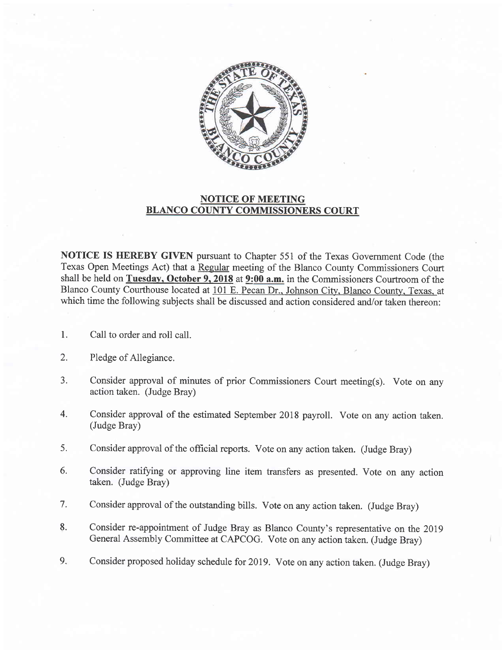

## NOTICE OF MEETING BLANCO COUNTY COMMISSIONERS COURT

NOTICE IS HEREBY GIVEN pursuant to Chapter 551 of the Texas Government Code (the Texas Open Meetings Act) that a Regular meeting of the Blanco County Commissioners Court shall be held on Tuesday, October 9, 2018 at 9:00 a.m. in the Commissioners Courtroom of the Blanco County Courthouse located at 101 E. Pecan Dr.. Johnson City. Blanco County. Texas. at which time the following subjects shall be discussed and action considered and/or taken thereon:

- l. Call to order and roll call.
- 2. Pledge of Allegiance.
- a J. Consider approval of minutes of prior Commissioners Court meeting(s). Vote on any action taken. (Judge Bray)
- Consider approval of the estimated September 2018 payroll. Vote on any action taken. (Judge Bray) 4.
- Consider approval of the official reports. Vote on any action taken. (Judge Bray) 5.
- Consider ratifying or approving line item transfers as presented. Vote on any action taken. (Judge Bray) 6.
- Consider approval of the outstanding bills. Vote on any action taken. (Judge Bray) 7.
- Consider re-appointment of Judge Bray as Blanco County's representative on the 2019 General Assembly committee at CAPCoG. vote on any action taken. (Judge Bray) 8.
- Consider proposed holiday schedule for 2019. Vote on any action taken. (Judge Bray) 9.